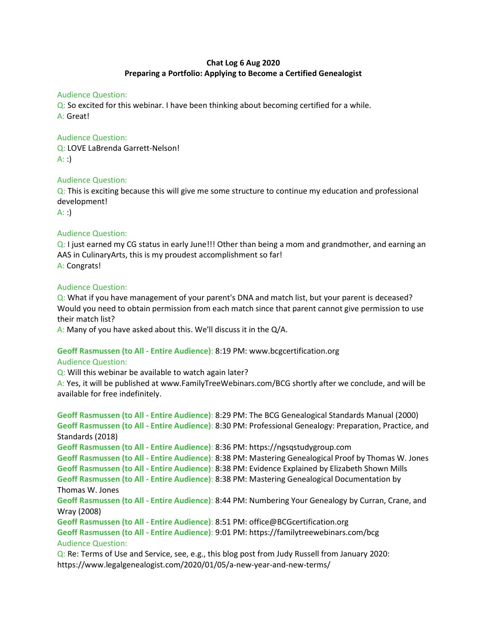## Chat Log 6 Aug 2020 Preparing a Portfolio: Applying to Become a Certified Genealogist

#### Audience Question:

Q: So excited for this webinar. I have been thinking about becoming certified for a while. A: Great!

## Audience Question:

Q: LOVE LaBrenda Garrett-Nelson!  $A:$ :

### Audience Question:

Q: This is exciting because this will give me some structure to continue my education and professional development!

 $A:$ :

## Audience Question:

Q: I just earned my CG status in early June!!! Other than being a mom and grandmother, and earning an AAS in CulinaryArts, this is my proudest accomplishment so far! A: Congrats!

### Audience Question:

Q: What if you have management of your parent's DNA and match list, but your parent is deceased? Would you need to obtain permission from each match since that parent cannot give permission to use their match list?

A: Many of you have asked about this. We'll discuss it in the Q/A.

## Geoff Rasmussen (to All - Entire Audience): 8:19 PM: www.bcgcertification.org

### Audience Question:

Q: Will this webinar be available to watch again later?

A: Yes, it will be published at www.FamilyTreeWebinars.com/BCG shortly after we conclude, and will be available for free indefinitely.

Geoff Rasmussen (to All - Entire Audience): 8:29 PM: The BCG Genealogical Standards Manual (2000) Geoff Rasmussen (to All - Entire Audience): 8:30 PM: Professional Genealogy: Preparation, Practice, and Standards (2018) Geoff Rasmussen (to All - Entire Audience): 8:36 PM: https://ngsqstudygroup.com Geoff Rasmussen (to All - Entire Audience): 8:38 PM: Mastering Genealogical Proof by Thomas W. Jones Geoff Rasmussen (to All - Entire Audience): 8:38 PM: Evidence Explained by Elizabeth Shown Mills Geoff Rasmussen (to All - Entire Audience): 8:38 PM: Mastering Genealogical Documentation by Thomas W. Jones Geoff Rasmussen (to All - Entire Audience): 8:44 PM: Numbering Your Genealogy by Curran, Crane, and Wray (2008) Geoff Rasmussen (to All - Entire Audience): 8:51 PM: office@BCGcertification.org Geoff Rasmussen (to All - Entire Audience): 9:01 PM: https://familytreewebinars.com/bcg Audience Question:

Q: Re: Terms of Use and Service, see, e.g., this blog post from Judy Russell from January 2020: https://www.legalgenealogist.com/2020/01/05/a-new-year-and-new-terms/